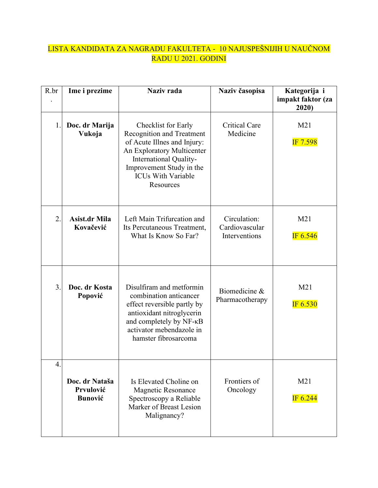## LISTA KANDIDATA ZA NAGRADU FAKULTETA - 10 NAJUSPEŠNIJIH U NAUČNOM RADU U 2021. GODINI

| R.br             | Ime i prezime                                 | Naziv rada                                                                                                                                                                                                           | Naziv časopisa                                         | Kategorija i<br>impakt faktor (za<br>2020) |
|------------------|-----------------------------------------------|----------------------------------------------------------------------------------------------------------------------------------------------------------------------------------------------------------------------|--------------------------------------------------------|--------------------------------------------|
| 1.               | Doc. dr Marija<br>Vukoja                      | Checklist for Early<br><b>Recognition and Treatment</b><br>of Acute Illnes and Injury:<br>An Exploratory Multicenter<br>International Quality-<br>Improvement Study in the<br><b>ICUs With Variable</b><br>Resources | <b>Critical Care</b><br>Medicine                       | M21<br>IF 7.598                            |
| $\overline{2}$ . | <b>Asist.dr Mila</b><br>Kovačević             | Left Main Trifurcation and<br>Its Percutaneous Treatment,<br>What Is Know So Far?                                                                                                                                    | Circulation:<br>Cardiovascular<br><b>Interventions</b> | M21<br>IF 6.546                            |
| 3.               | Doc. dr Kosta<br>Popović                      | Disulfiram and metformin<br>combination anticancer<br>effect reversible partly by<br>antioxidant nitroglycerin<br>and completely by NF-KB<br>activator mebendazole in<br>hamster fibrosarcoma                        | Biomedicine &<br>Pharmacotherapy                       | M21<br>IF $6.530$                          |
| $\overline{4}$   | Doc. dr Nataša<br>Prvulović<br><b>Bunović</b> | Is Elevated Choline on<br><b>Magnetic Resonance</b><br>Spectroscopy a Reliable<br>Marker of Breast Lesion<br>Malignancy?                                                                                             | Frontiers of<br>Oncology                               | M21<br>IF 6.244                            |